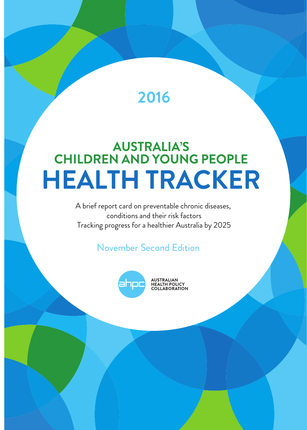## **2016**

# **AUSTRALIA'S<br>CHILDREN AND YOUNG PEOPLE HEALTH TRACKER**

A brief report card on preventable chronic diseases, conditions and their risk factors Tracking progress for a healthier Australia by 2025

### November Second Edition



**AUSTRALIAN<br>HEALTH POLICY<br>COLLABORATION**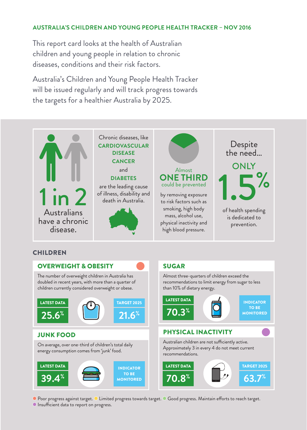#### **AUSTRALIA'S CHILDREN AND YOUNG PEOPLE HEALTH TRACKER – NOV 2016**

This report card looks at the health of Australian children and young people in relation to chronic diseases, conditions and their risk factors.

Australia's Children and Young People Health Tracker will be issued regularly and will track progress towards the targets for a healthier Australia by 2025.



● Poor progress against target. ● Limited progress towards target. ● Good progress. Maintain efforts to reach target.

**Insufficient data to report on progress.**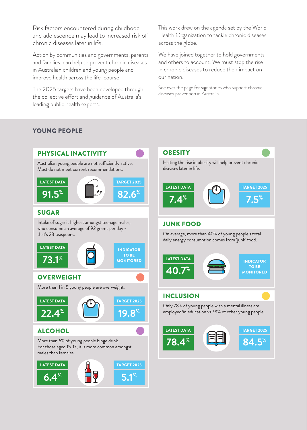Risk factors encountered during childhood and adolescence may lead to increased risk of chronic diseases later in life.

Action by communities and governments, parents and families, can help to prevent chronic diseases in Australian children and young people and improve health across the life-course.

The 2025 targets have been developed through the collective effort and guidance of Australia's leading public health experts.

This work drew on the agenda set by the World Health Organization to tackle chronic diseases across the globe.

We have joined together to hold governments and others to account. We must stop the rise in chronic diseases to reduce their impact on our nation.

See over the page for signatories who support chronic diseases prevention in Australia.

#### YOUNG PEOPLE